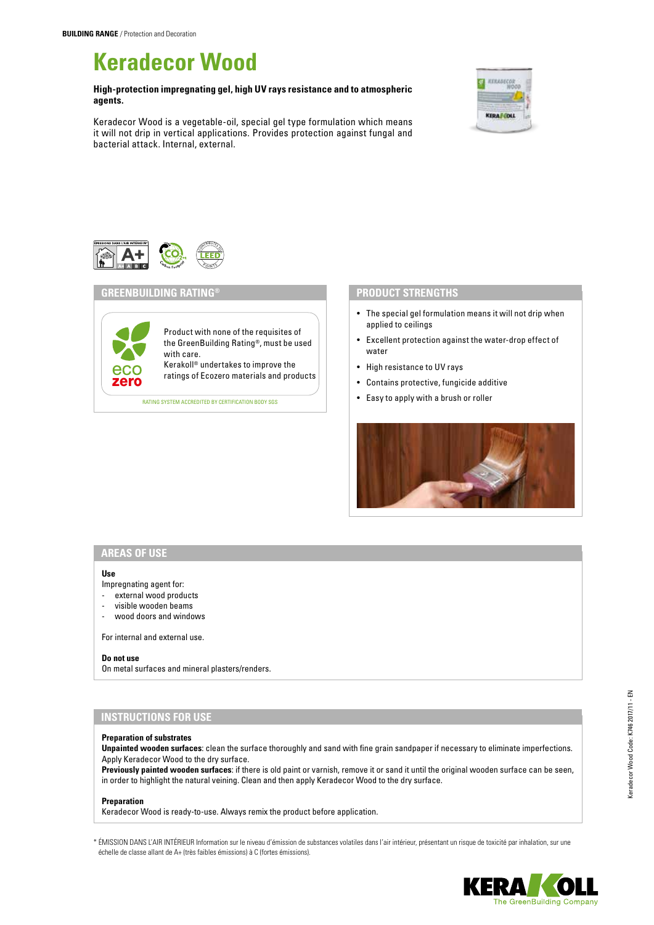# **Keradecor Wood**

**High-protection impregnating gel, high UV rays resistance and to atmospheric agents.**

Keradecor Wood is a vegetable-oil, special gel type formulation which means it will not drip in vertical applications. Provides protection against fungal and bacterial attack. Internal, external.





## **GREENBUILDING RATING®**

Product with none of the requisites of the GreenBuilding Rating®, must be used with care. Kerakoll® undertakes to improve the

**eco** Refakule undertakes to improve the<br>**Zero** ratings of Ecozero materials and products

RATING SYSTEM ACCREDITED BY CERTIFICATION BODY SGS

## **PRODUCT STRENGTHS**

- The special gel formulation means it will not drip when applied to ceilings
- Excellent protection against the water-drop effect of water
- High resistance to UV rays
- Contains protective, fungicide additive
- Easy to apply with a brush or roller



# **AREAS OF USE**

#### **Use**

Impregnating agent for:

- external wood products
- visible wooden beams
- wood doors and windows

For internal and external use.

#### **Do not use**

On metal surfaces and mineral plasters/renders.

# **INSTRUCTIONS FOR USE**

## **Preparation of substrates**

**Unpainted wooden surfaces**: clean the surface thoroughly and sand with fine grain sandpaper if necessary to eliminate imperfections. Apply Keradecor Wood to the dry surface.

**Previously painted wooden surfaces**: if there is old paint or varnish, remove it or sand it until the original wooden surface can be seen, in order to highlight the natural veining. Clean and then apply Keradecor Wood to the dry surface.

#### **Preparation**

Keradecor Wood is ready-to-use. Always remix the product before application.

\* ÉMISSION DANS L'AIR INTÉRIEUR Information sur le niveau d'émission de substances volatiles dans l'air intérieur, présentant un risque de toxicité par inhalation, sur une échelle de classe allant de A+ (très faibles émissions) à C (fortes émissions).